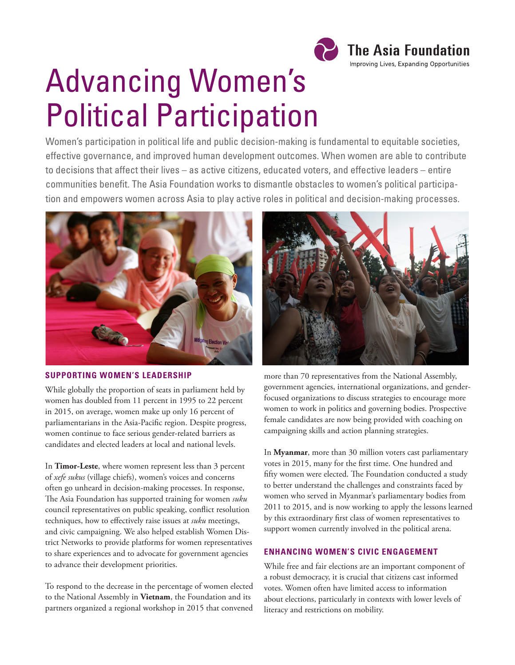

# Advancing Women's Political Participation

Women's participation in political life and public decision-making is fundamental to equitable societies, effective governance, and improved human development outcomes. When women are able to contribute to decisions that affect their lives – as active citizens, educated voters, and effective leaders – entire communities benefit. The Asia Foundation works to dismantle obstacles to women's political participation and empowers women across Asia to play active roles in political and decision-making processes.



#### **SUPPORTING WOMEN'S LEADERSHIP**

While globally the proportion of seats in parliament held by women has doubled from 11 percent in 1995 to 22 percent in 2015, on average, women make up only 16 percent of parliamentarians in the Asia-Pacific region. Despite progress, women continue to face serious gender-related barriers as candidates and elected leaders at local and national levels.

In **Timor-Leste**, where women represent less than 3 percent of *xefe sukus* (village chiefs), women's voices and concerns often go unheard in decision-making processes. In response, The Asia Foundation has supported training for women *suku* council representatives on public speaking, conflict resolution techniques, how to effectively raise issues at *suku* meetings, and civic campaigning. We also helped establish Women District Networks to provide platforms for women representatives to share experiences and to advocate for government agencies to advance their development priorities.

To respond to the decrease in the percentage of women elected to the National Assembly in **Vietnam**, the Foundation and its partners organized a regional workshop in 2015 that convened



more than 70 representatives from the National Assembly, government agencies, international organizations, and genderfocused organizations to discuss strategies to encourage more women to work in politics and governing bodies. Prospective female candidates are now being provided with coaching on campaigning skills and action planning strategies.

In **Myanmar**, more than 30 million voters cast parliamentary votes in 2015, many for the first time. One hundred and fifty women were elected. The Foundation conducted a study to better understand the challenges and constraints faced by women who served in Myanmar's parliamentary bodies from 2011 to 2015, and is now working to apply the lessons learned by this extraordinary first class of women representatives to support women currently involved in the political arena.

### **ENHANCING WOMEN'S CIVIC ENGAGEMENT**

While free and fair elections are an important component of a robust democracy, it is crucial that citizens cast informed votes. Women often have limited access to information about elections, particularly in contexts with lower levels of literacy and restrictions on mobility.